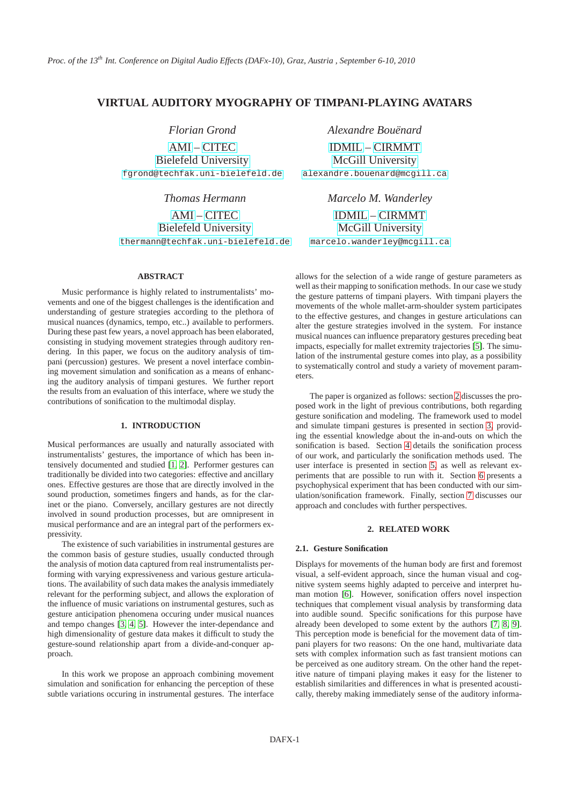# **VIRTUAL AUDITORY MYOGRAPHY OF TIMPANI-PLAYING AVATARS**

*Florian Grond*

[AMI](http://www.techfak.uni-bielefeld.de/ags/ami/) – [CITEC](http://www.cit-ec.de/home) [Bielefeld University](http://www.uni-bielefeld.de) [fgrond@techfak.uni-bielefeld.de](mailto:fgrond@techfak.uni-bielefeld.de)

*Thomas Hermann*

[AMI](http://www.techfak.uni-bielefeld.de/ags/ami/) – [CITEC](http://www.cit-ec.de/home) [Bielefeld University](http://www.uni-bielefeld.de)

[thermann@techfak.uni-bielefeld.de](mailto:thermann@techfak.uni-bielefeld.de)

# **ABSTRACT**

Music performance is highly related to instrumentalists' movements and one of the biggest challenges is the identification and understanding of gesture strategies according to the plethora of musical nuances (dynamics, tempo, etc..) available to performers. During these past few years, a novel approach has been elaborated, consisting in studying movement strategies through auditory rendering. In this paper, we focus on the auditory analysis of timpani (percussion) gestures. We present a novel interface combining movement simulation and sonification as a means of enhancing the auditory analysis of timpani gestures. We further report the results from an evaluation of this interface, where we study the contributions of sonification to the multimodal display.

## **1. INTRODUCTION**

Musical performances are usually and naturally associated with instrumentalists' gestures, the importance of which has been intensively documented and studied [\[1,](#page-6-0) [2\]](#page-6-1). Performer gestures can traditionally be divided into two categories: effective and ancillary ones. Effective gestures are those that are directly involved in the sound production, sometimes fingers and hands, as for the clarinet or the piano. Conversely, ancillary gestures are not directly involved in sound production processes, but are omnipresent in musical performance and are an integral part of the performers expressivity.

The existence of such variabilities in instrumental gestures are the common basis of gesture studies, usually conducted through the analysis of motion data captured from real instrumentalists performing with varying expressiveness and various gesture articulations. The availability of such data makes the analysis immediately relevant for the performing subject, and allows the exploration of the influence of music variations on instrumental gestures, such as gesture anticipation phenomena occuring under musical nuances and tempo changes [\[3,](#page-6-2) [4,](#page-6-3) [5\]](#page-6-4). However the inter-dependance and high dimensionality of gesture data makes it difficult to study the gesture-sound relationship apart from a divide-and-conquer approach.

In this work we propose an approach combining movement simulation and sonification for enhancing the perception of these subtle variations occuring in instrumental gestures. The interface *Alexandre Bouënard*

[IDMIL](http://www.idmil.org) – [CIRMMT](http://www.cirmmt.mcgill.ca) [McGill University](http://www.mcgill.ca) [alexandre.bouenard@mcgill.ca](mailto:alexandre.bouenard@mail.mcgill.ca)

> *Marcelo M. Wanderley* [IDMIL](http://www.idmil.org) – [CIRMMT](http://www.cirmmt.mcgill.ca) [McGill University](http://www.mcgill.ca)

[marcelo.wanderley@mcgill.ca](mailto:marcelo.wanderley@mcgill.ca)

allows for the selection of a wide range of gesture parameters as well as their mapping to sonification methods. In our case we study the gesture patterns of timpani players. With timpani players the movements of the whole mallet-arm-shoulder system participates to the effective gestures, and changes in gesture articulations can alter the gesture strategies involved in the system. For instance musical nuances can influence preparatory gestures preceding beat impacts, especially for mallet extremity trajectories [\[5\]](#page-6-4). The simulation of the instrumental gesture comes into play, as a possibility to systematically control and study a variety of movement parameters.

The paper is organized as follows: section [2](#page-0-0) discusses the proposed work in the light of previous contributions, both regarding gesture sonification and modeling. The framework used to model and simulate timpani gestures is presented in section [3,](#page-1-0) providing the essential knowledge about the in-and-outs on which the sonification is based. Section [4](#page-3-0) details the sonification process of our work, and particularly the sonification methods used. The user interface is presented in section [5,](#page-4-0) as well as relevant experiments that are possible to run with it. Section [6](#page-4-1) presents a psychophysical experiment that has been conducted with our simulation/sonification framework. Finally, section [7](#page-6-5) discusses our approach and concludes with further perspectives.

## **2. RELATED WORK**

### <span id="page-0-0"></span>**2.1. Gesture Sonification**

Displays for movements of the human body are first and foremost visual, a self-evident approach, since the human visual and cognitive system seems highly adapted to perceive and interpret human motion [\[6\]](#page-6-6). However, sonification offers novel inspection techniques that complement visual analysis by transforming data into audible sound. Specific sonifications for this purpose have already been developed to some extent by the authors [\[7,](#page-6-7) [8,](#page-6-8) [9\]](#page-6-9). This perception mode is beneficial for the movement data of timpani players for two reasons: On the one hand, multivariate data sets with complex information such as fast transient motions can be perceived as one auditory stream. On the other hand the repetitive nature of timpani playing makes it easy for the listener to establish similarities and differences in what is presented acoustically, thereby making immediately sense of the auditory informa-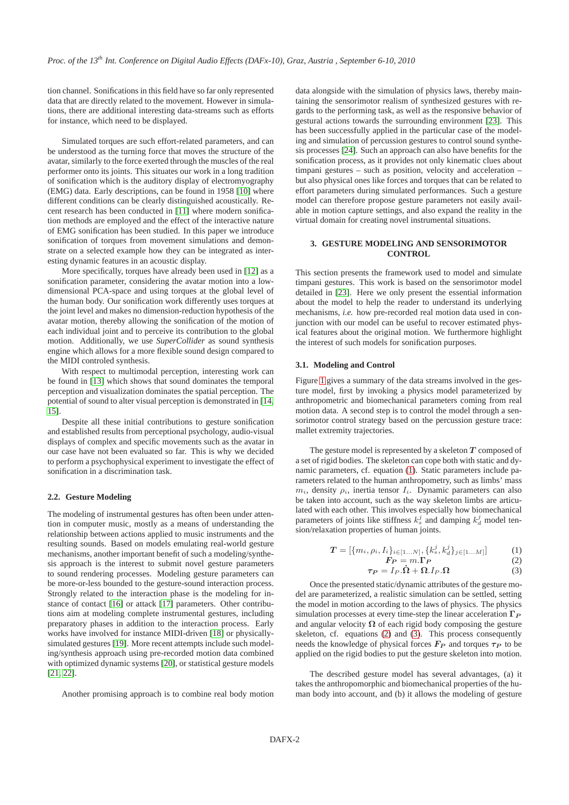tion channel. Sonifications in this field have so far only represented data that are directly related to the movement. However in simulations, there are additional interesting data-streams such as efforts for instance, which need to be displayed.

Simulated torques are such effort-related parameters, and can be understood as the turning force that moves the structure of the avatar, similarly to the force exerted through the muscles of the real performer onto its joints. This situates our work in a long tradition of sonification which is the auditory display of electromyography (EMG) data. Early descriptions, can be found in 1958 [\[10\]](#page-6-10) where different conditions can be clearly distinguished acoustically. Recent research has been conducted in [\[11\]](#page-6-11) where modern sonification methods are employed and the effect of the interactive nature of EMG sonification has been studied. In this paper we introduce sonification of torques from movement simulations and demonstrate on a selected example how they can be integrated as interesting dynamic features in an acoustic display.

More specifically, torques have already been used in [\[12\]](#page-6-12) as a sonification parameter, considering the avatar motion into a lowdimensional PCA-space and using torques at the global level of the human body. Our sonification work differently uses torques at the joint level and makes no dimension-reduction hypothesis of the avatar motion, thereby allowing the sonification of the motion of each individual joint and to perceive its contribution to the global motion. Additionally, we use *SuperCollider* as sound synthesis engine which allows for a more flexible sound design compared to the MIDI controled synthesis.

With respect to multimodal perception, interesting work can be found in [\[13\]](#page-6-13) which shows that sound dominates the temporal perception and visualization dominates the spatial perception. The potential of sound to alter visual perception is demonstrated in [\[14,](#page-6-14) [15\]](#page-6-15).

Despite all these initial contributions to gesture sonification and established results from perceptional psychology, audio-visual displays of complex and specific movements such as the avatar in our case have not been evaluated so far. This is why we decided to perform a psychophysical experiment to investigate the effect of sonification in a discrimination task.

#### **2.2. Gesture Modeling**

The modeling of instrumental gestures has often been under attention in computer music, mostly as a means of understanding the relationship between actions applied to music instruments and the resulting sounds. Based on models emulating real-world gesture mechanisms, another important benefit of such a modeling/synthesis approach is the interest to submit novel gesture parameters to sound rendering processes. Modeling gesture parameters can be more-or-less bounded to the gesture-sound interaction process. Strongly related to the interaction phase is the modeling for instance of contact [\[16\]](#page-6-16) or attack [\[17\]](#page-6-17) parameters. Other contributions aim at modeling complete instrumental gestures, including preparatory phases in addition to the interaction process. Early works have involved for instance MIDI-driven [\[18\]](#page-6-18) or physicallysimulated gestures [\[19\]](#page-6-19). More recent attempts include such modeling/synthesis approach using pre-recorded motion data combined with optimized dynamic systems [\[20\]](#page-6-20), or statistical gesture models [\[21,](#page-7-0) [22\]](#page-7-1).

Another promising approach is to combine real body motion

data alongside with the simulation of physics laws, thereby maintaining the sensorimotor realism of synthesized gestures with regards to the performing task, as well as the responsive behavior of gestural actions towards the surrounding environment [\[23\]](#page-7-2). This has been successfully applied in the particular case of the modeling and simulation of percussion gestures to control sound synthesis processes [\[24\]](#page-7-3). Such an approach can also have benefits for the sonification process, as it provides not only kinematic clues about timpani gestures – such as position, velocity and acceleration – but also physical ones like forces and torques that can be related to effort parameters during simulated performances. Such a gesture model can therefore propose gesture parameters not easily available in motion capture settings, and also expand the reality in the virtual domain for creating novel instrumental situations.

### **3. GESTURE MODELING AND SENSORIMOTOR CONTROL**

<span id="page-1-0"></span>This section presents the framework used to model and simulate timpani gestures. This work is based on the sensorimotor model detailed in [\[23\]](#page-7-2). Here we only present the essential information about the model to help the reader to understand its underlying mechanisms, *i.e.* how pre-recorded real motion data used in conjunction with our model can be useful to recover estimated physical features about the original motion. We furthermore highlight the interest of such models for sonification purposes.

#### **3.1. Modeling and Control**

Figure [1](#page-2-0) gives a summary of the data streams involved in the gesture model, first by invoking a physics model parameterized by anthropometric and biomechanical parameters coming from real motion data. A second step is to control the model through a sensorimotor control strategy based on the percussion gesture trace: mallet extremity trajectories.

The gesture model is represented by a skeleton  $T$  composed of a set of rigid bodies. The skeleton can cope both with static and dynamic parameters, cf. equation [\(1\)](#page-1-1). Static parameters include parameters related to the human anthropometry, such as limbs' mass  $m_i$ , density  $\rho_i$ , inertia tensor  $I_i$ . Dynamic parameters can also be taken into account, such as the way skeleton limbs are articulated with each other. This involves especially how biomechanical parameters of joints like stiffness  $k_s^j$  and damping  $k_d^j$  model tension/relaxation properties of human joints.

<span id="page-1-2"></span>
$$
\mathbf{T} = [\{m_i, \rho_i, I_i\}_{i \in [1...N]}, \{k_s^j, k_d^j\}_{j \in [1...M]}]
$$
(1)

$$
F_P = m.\Gamma_P \tag{2}
$$

$$
\tau_P = I_P.\dot{\Omega} + \Omega.I_P.\Omega \tag{3}
$$

<span id="page-1-3"></span><span id="page-1-1"></span>Once the presented static/dynamic attributes of the gesture model are parameterized, a realistic simulation can be settled, setting the model in motion according to the laws of physics. The physics simulation processes at every time-step the linear acceleration  $\Gamma_P$ and angular velocity  $\Omega$  of each rigid body composing the gesture skeleton, cf. equations [\(2\)](#page-1-2) and [\(3\)](#page-1-3). This process consequently needs the knowledge of physical forces  $\mathbf{F}_P$  and torques  $\tau_P$  to be applied on the rigid bodies to put the gesture skeleton into motion.

The described gesture model has several advantages, (a) it takes the anthropomorphic and biomechanical properties of the human body into account, and (b) it allows the modeling of gesture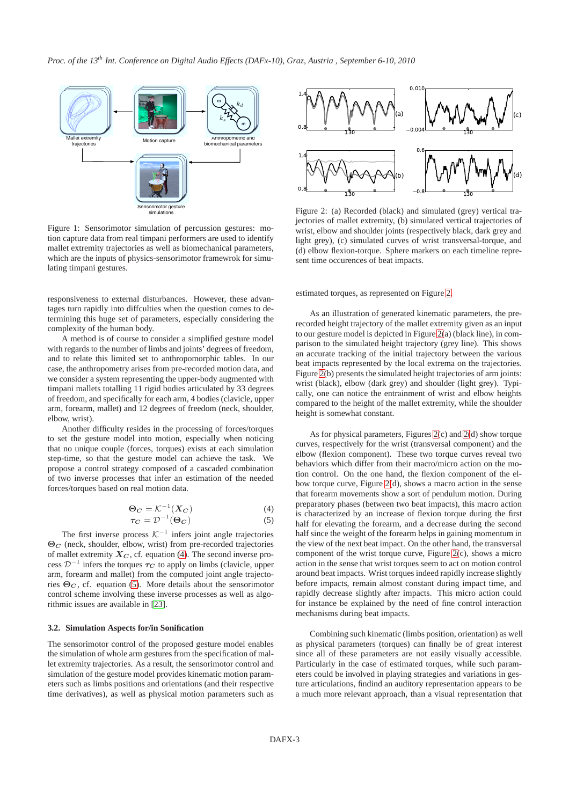<span id="page-2-0"></span>

Figure 1: Sensorimotor simulation of percussion gestures: motion capture data from real timpani performers are used to identify mallet extremity trajectories as well as biomechanical parameters, which are the inputs of physics-sensorimotor framewrok for simulating timpani gestures.

responsiveness to external disturbances. However, these advantages turn rapidly into diffculties when the question comes to determining this huge set of parameters, especially considering the complexity of the human body.

A method is of course to consider a simplified gesture model with regards to the number of limbs and joints' degrees of freedom, and to relate this limited set to anthropomorphic tables. In our case, the anthropometry arises from pre-recorded motion data, and we consider a system representing the upper-body augmented with timpani mallets totalling 11 rigid bodies articulated by 33 degrees of freedom, and specifically for each arm, 4 bodies (clavicle, upper arm, forearm, mallet) and 12 degrees of freedom (neck, shoulder, elbow, wrist).

Another difficulty resides in the processing of forces/torques to set the gesture model into motion, especially when noticing that no unique couple (forces, torques) exists at each simulation step-time, so that the gesture model can achieve the task. We propose a control strategy composed of a cascaded combination of two inverse processes that infer an estimation of the needed forces/torques based on real motion data.

$$
\begin{aligned} \Theta_C &= \mathcal{K}^{-1}(X_C) \\ \tau_C &= \mathcal{D}^{-1}(\Theta_C) \end{aligned} \tag{4}
$$

<span id="page-2-2"></span><span id="page-2-1"></span>The first inverse process  $K^{-1}$  infers joint angle trajectories  $\Theta_C$  (neck, shoulder, elbow, wrist) from pre-recorded trajectories of mallet extremity  $X_C$ , cf. equation [\(4\)](#page-2-1). The second inverse process  $\mathcal{D}^{-1}$  infers the torques  $\tau_C$  to apply on limbs (clavicle, upper arm, forearm and mallet) from the computed joint angle trajectories  $\Theta_C$ , cf. equation [\(5\)](#page-2-2). More details about the sensorimotor control scheme involving these inverse processes as well as algorithmic issues are available in [\[23\]](#page-7-2).

#### **3.2. Simulation Aspects for/in Sonification**

The sensorimotor control of the proposed gesture model enables the simulation of whole arm gestures from the specification of mallet extremity trajectories. As a result, the sensorimotor control and simulation of the gesture model provides kinematic motion parameters such as limbs positions and orientations (and their respective time derivatives), as well as physical motion parameters such as

<span id="page-2-3"></span>

Figure 2: (a) Recorded (black) and simulated (grey) vertical trajectories of mallet extremity, (b) simulated vertical trajectories of wrist, elbow and shoulder joints (respectively black, dark grey and light grey), (c) simulated curves of wrist transversal-torque, and (d) elbow flexion-torque. Sphere markers on each timeline represent time occurences of beat impacts.

estimated torques, as represented on Figure [2.](#page-2-3)

As an illustration of generated kinematic parameters, the prerecorded height trajectory of the mallet extremity given as an input to our gesture model is depicted in Figure [2\(](#page-2-3)a) (black line), in comparison to the simulated height trajectory (grey line). This shows an accurate tracking of the initial trajectory between the various beat impacts represented by the local extrema on the trajectories. Figure [2\(](#page-2-3)b) presents the simulated height trajectories of arm joints: wrist (black), elbow (dark grey) and shoulder (light grey). Typically, one can notice the entrainment of wrist and elbow heights compared to the height of the mallet extremity, while the shoulder height is somewhat constant.

As for physical parameters, Figures [2\(](#page-2-3)c) and [2\(](#page-2-3)d) show torque curves, respectively for the wrist (transversal component) and the elbow (flexion component). These two torque curves reveal two behaviors which differ from their macro/micro action on the motion control. On the one hand, the flexion component of the elbow torque curve, Figure [2\(](#page-2-3)d), shows a macro action in the sense that forearm movements show a sort of pendulum motion. During preparatory phases (between two beat impacts), this macro action is characterized by an increase of flexion torque during the first half for elevating the forearm, and a decrease during the second half since the weight of the forearm helps in gaining momentum in the view of the next beat impact. On the other hand, the transversal component of the wrist torque curve, Figure [2\(](#page-2-3)c), shows a micro action in the sense that wrist torques seem to act on motion control around beat impacts. Wrist torques indeed rapidly increase slightly before impacts, remain almost constant during impact time, and rapidly decrease slightly after impacts. This micro action could for instance be explained by the need of fine control interaction mechanisms during beat impacts.

Combining such kinematic (limbs position, orientation) as well as physical parameters (torques) can finally be of great interest since all of these parameters are not easily visually accessible. Particularly in the case of estimated torques, while such parameters could be involved in playing strategies and variations in gesture articulations, findind an auditory representation appears to be a much more relevant approach, than a visual representation that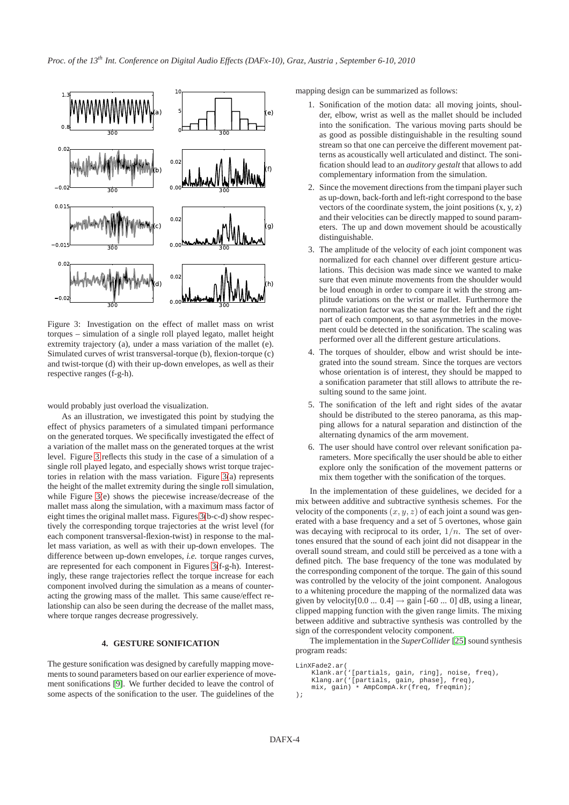<span id="page-3-1"></span>

Figure 3: Investigation on the effect of mallet mass on wrist torques – simulation of a single roll played legato, mallet height extremity trajectory (a), under a mass variation of the mallet (e). Simulated curves of wrist transversal-torque (b), flexion-torque (c) and twist-torque (d) with their up-down envelopes, as well as their respective ranges (f-g-h).

would probably just overload the visualization.

As an illustration, we investigated this point by studying the effect of physics parameters of a simulated timpani performance on the generated torques. We specifically investigated the effect of a variation of the mallet mass on the generated torques at the wrist level. Figure [3](#page-3-1) reflects this study in the case of a simulation of a single roll played legato, and especially shows wrist torque trajectories in relation with the mass variation. Figure [3\(](#page-3-1)a) represents the height of the mallet extremity during the single roll simulation, while Figure [3\(](#page-3-1)e) shows the piecewise increase/decrease of the mallet mass along the simulation, with a maximum mass factor of eight times the original mallet mass. Figures [3\(](#page-3-1)b-c-d) show respectively the corresponding torque trajectories at the wrist level (for each component transversal-flexion-twist) in response to the mallet mass variation, as well as with their up-down envelopes. The difference between up-down envelopes, *i.e.* torque ranges curves, are represented for each component in Figures [3\(](#page-3-1)f-g-h). Interestingly, these range trajectories reflect the torque increase for each component involved during the simulation as a means of counteracting the growing mass of the mallet. This same cause/effect relationship can also be seen during the decrease of the mallet mass, where torque ranges decrease progressively.

### **4. GESTURE SONIFICATION**

<span id="page-3-0"></span>The gesture sonification was designed by carefully mapping movements to sound parameters based on our earlier experience of movement sonifications [\[9\]](#page-6-9). We further decided to leave the control of some aspects of the sonification to the user. The guidelines of the

mapping design can be summarized as follows:

- 1. Sonification of the motion data: all moving joints, shoulder, elbow, wrist as well as the mallet should be included into the sonification. The various moving parts should be as good as possible distinguishable in the resulting sound stream so that one can perceive the different movement patterns as acoustically well articulated and distinct. The sonification should lead to an *auditory gestalt* that allows to add complementary information from the simulation.
- 2. Since the movement directions from the timpani player such as up-down, back-forth and left-right correspond to the base vectors of the coordinate system, the joint positions  $(x, y, z)$ and their velocities can be directly mapped to sound parameters. The up and down movement should be acoustically distinguishable.
- 3. The amplitude of the velocity of each joint component was normalized for each channel over different gesture articulations. This decision was made since we wanted to make sure that even minute movements from the shoulder would be loud enough in order to compare it with the strong amplitude variations on the wrist or mallet. Furthermore the normalization factor was the same for the left and the right part of each component, so that asymmetries in the movement could be detected in the sonification. The scaling was performed over all the different gesture articulations.
- 4. The torques of shoulder, elbow and wrist should be integrated into the sound stream. Since the torques are vectors whose orientation is of interest, they should be mapped to a sonification parameter that still allows to attribute the resulting sound to the same joint.
- 5. The sonification of the left and right sides of the avatar should be distributed to the stereo panorama, as this mapping allows for a natural separation and distinction of the alternating dynamics of the arm movement.
- 6. The user should have control over relevant sonification parameters. More specifically the user should be able to either explore only the sonification of the movement patterns or mix them together with the sonification of the torques.

In the implementation of these guidelines, we decided for a mix between additive and subtractive synthesis schemes. For the velocity of the components  $(x, y, z)$  of each joint a sound was generated with a base frequency and a set of 5 overtones, whose gain was decaying with reciprocal to its order,  $1/n$ . The set of overtones ensured that the sound of each joint did not disappear in the overall sound stream, and could still be perceived as a tone with a defined pitch. The base frequency of the tone was modulated by the corresponding component of the torque. The gain of this sound was controlled by the velocity of the joint component. Analogous to a whitening procedure the mapping of the normalized data was given by velocity $[0.0 \dots 0.4] \rightarrow$  gain  $[-60 \dots 0]$  dB, using a linear, clipped mapping function with the given range limits. The mixing between additive and subtractive synthesis was controlled by the sign of the correspondent velocity component.

The implementation in the *SuperCollider* [\[25\]](#page-7-4) sound synthesis program reads:

```
LinXFade2.ar(
   Klank.ar('[partials, gain, ring], noise, freq),
   Klang.ar('[partials, gain, phase], freq),
   mix, gain) * AmpCompA.kr(freq, freqmin);
);
```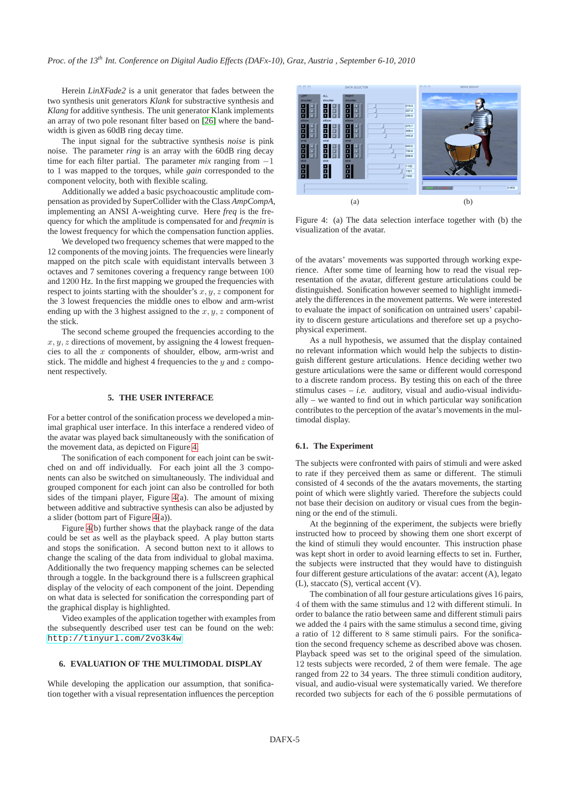Herein *LinXFade2* is a unit generator that fades between the two synthesis unit generators *Klank* for substractive synthesis and *Klang* for additive synthesis. The unit generator Klank implements an array of two pole resonant filter based on [\[26\]](#page-7-5) where the bandwidth is given as 60dB ring decay time.

The input signal for the subtractive synthesis *noise* is pink noise. The parameter *ring* is an array with the 60dB ring decay time for each filter partial. The parameter *mix* ranging from −1 to 1 was mapped to the torques, while *gain* corresponded to the component velocity, both with flexible scaling.

Additionally we added a basic psychoacoustic amplitude compensation as provided by SuperCollider with the Class *AmpCompA*, implementing an ANSI A-weighting curve. Here *freq* is the frequency for which the amplitude is compensated for and *freqmin* is the lowest frequency for which the compensation function applies.

We developed two frequency schemes that were mapped to the 12 components of the moving joints. The frequencies were linearly mapped on the pitch scale with equidistant intervalls between 3 octaves and 7 semitones covering a frequency range between 100 and 1200 Hz. In the first mapping we grouped the frequencies with respect to joints starting with the shoulder's  $x, y, z$  component for the 3 lowest frequencies the middle ones to elbow and arm-wrist ending up with the 3 highest assigned to the  $x, y, z$  component of the stick.

The second scheme grouped the frequencies according to the  $x, y, z$  directions of movement, by assigning the 4 lowest frequencies to all the x components of shoulder, elbow, arm-wrist and stick. The middle and highest 4 frequencies to the  $y$  and  $z$  component respectively.

#### **5. THE USER INTERFACE**

<span id="page-4-0"></span>For a better control of the sonification process we developed a minimal graphical user interface. In this interface a rendered video of the avatar was played back simultaneously with the sonification of the movement data, as depicted on Figure [4.](#page-4-2)

The sonification of each component for each joint can be switched on and off individually. For each joint all the 3 components can also be switched on simultaneously. The individual and grouped component for each joint can also be controlled for both sides of the timpani player, Figure [4\(](#page-4-2)a). The amount of mixing between additive and subtractive synthesis can also be adjusted by a slider (bottom part of Figure [4\(](#page-4-2)a)).

Figure [4\(](#page-4-2)b) further shows that the playback range of the data could be set as well as the playback speed. A play button starts and stops the sonification. A second button next to it allows to change the scaling of the data from individual to global maxima. Additionally the two frequency mapping schemes can be selected through a toggle. In the background there is a fullscreen graphical display of the velocity of each component of the joint. Depending on what data is selected for sonification the corresponding part of the graphical display is highlighted.

Video examples of the application together with examples from the subsequently described user test can be found on the web: <http://tinyurl.com/2vo3k4w>

## **6. EVALUATION OF THE MULTIMODAL DISPLAY**

<span id="page-4-1"></span>While developing the application our assumption, that sonification together with a visual representation influences the perception

<span id="page-4-2"></span>

Figure 4: (a) The data selection interface together with (b) the visualization of the avatar.

of the avatars' movements was supported through working experience. After some time of learning how to read the visual representation of the avatar, different gesture articulations could be distinguished. Sonification however seemed to highlight immediately the differences in the movement patterns. We were interested to evaluate the impact of sonification on untrained users' capability to discern gesture articulations and therefore set up a psychophysical experiment.

As a null hypothesis, we assumed that the display contained no relevant information which would help the subjects to distinguish different gesture articulations. Hence deciding wether two gesture articulations were the same or different would correspond to a discrete random process. By testing this on each of the three stimulus cases  $- i.e.$  auditory, visual and audio-visual individually – we wanted to find out in which particular way sonification contributes to the perception of the avatar's movements in the multimodal display.

### **6.1. The Experiment**

The subjects were confronted with pairs of stimuli and were asked to rate if they perceived them as same or different. The stimuli consisted of 4 seconds of the the avatars movements, the starting point of which were slightly varied. Therefore the subjects could not base their decision on auditory or visual cues from the beginning or the end of the stimuli.

At the beginning of the experiment, the subjects were briefly instructed how to proceed by showing them one short excerpt of the kind of stimuli they would encounter. This instruction phase was kept short in order to avoid learning effects to set in. Further, the subjects were instructed that they would have to distinguish four different gesture articulations of the avatar: accent (A), legato (L), staccato (S), vertical accent (V).

The combination of all four gesture articulations gives 16 pairs, 4 of them with the same stimulus and 12 with different stimuli. In order to balance the ratio between same and different stimuli pairs we added the 4 pairs with the same stimulus a second time, giving a ratio of 12 different to 8 same stimuli pairs. For the sonification the second frequency scheme as described above was chosen. Playback speed was set to the original speed of the simulation. 12 tests subjects were recorded, 2 of them were female. The age ranged from 22 to 34 years. The three stimuli condition auditory, visual, and audio-visual were systematically varied. We therefore recorded two subjects for each of the 6 possible permutations of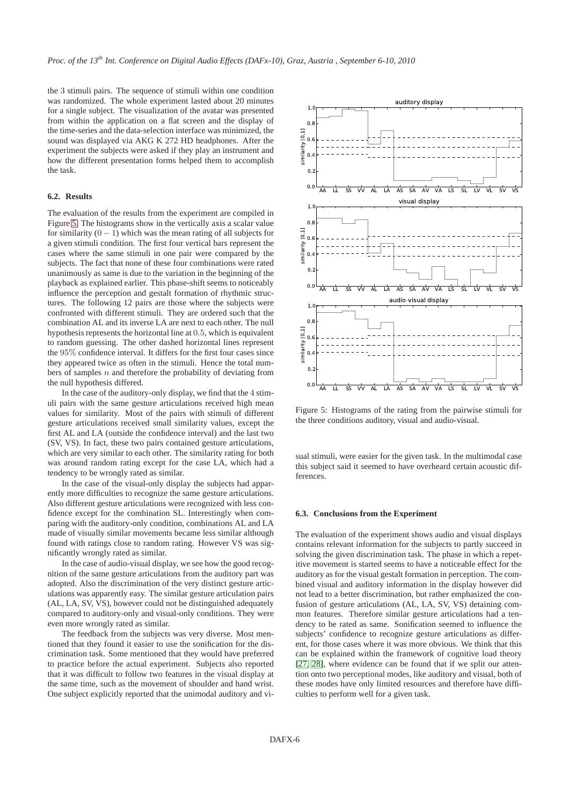the 3 stimuli pairs. The sequence of stimuli within one condition was randomized. The whole experiment lasted about 20 minutes for a single subject. The visualization of the avatar was presented from within the application on a flat screen and the display of the time-series and the data-selection interface was minimized, the sound was displayed via AKG K 272 HD headphones. After the experiment the subjects were asked if they play an instrument and how the different presentation forms helped them to accomplish the task.

### **6.2. Results**

The evaluation of the results from the experiment are compiled in Figure [5.](#page-5-0) The histograms show in the vertically axis a scalar value for similarity  $(0 - 1)$  which was the mean rating of all subjects for a given stimuli condition. The first four vertical bars represent the cases where the same stimuli in one pair were compared by the subjects. The fact that none of these four combinations were rated unanimously as same is due to the variation in the beginning of the playback as explained earlier. This phase-shift seems to noticeably influence the perception and gestalt formation of rhythmic structures. The following 12 pairs are those where the subjects were confronted with different stimuli. They are ordered such that the combination AL and its inverse LA are next to each other. The null hypothesis represents the horizontal line at 0.5, which is equivalent to random guessing. The other dashed horizontal lines represent the 95% confidence interval. It differs for the first four cases since they appeared twice as often in the stimuli. Hence the total numbers of samples  $n$  and therefore the probability of deviating from the null hypothesis differed.

In the case of the auditory-only display, we find that the 4 stimuli pairs with the same gesture articulations received high mean values for similarity. Most of the pairs with stimuli of different gesture articulations received small similarity values, except the first AL and LA (outside the confidence interval) and the last two (SV, VS). In fact, these two pairs contained gesture articulations, which are very similar to each other. The similarity rating for both was around random rating except for the case LA, which had a tendency to be wrongly rated as similar.

In the case of the visual-only display the subjects had apparently more difficulties to recognize the same gesture articulations. Also different gesture articulations were recognized with less confidence except for the combination SL. Interestingly when comparing with the auditory-only condition, combinations AL and LA made of visually similar movements became less similar although found with ratings close to random rating. However VS was significantly wrongly rated as similar.

In the case of audio-visual display, we see how the good recognition of the same gesture articulations from the auditory part was adopted. Also the discrimination of the very distinct gesture articulations was apparently easy. The similar gesture articulation pairs (AL, LA, SV, VS), however could not be distinguished adequately compared to auditory-only and visual-only conditions. They were even more wrongly rated as similar.

The feedback from the subjects was very diverse. Most mentioned that they found it easier to use the sonification for the discrimination task. Some mentioned that they would have preferred to practice before the actual experiment. Subjects also reported that it was difficult to follow two features in the visual display at the same time, such as the movement of shoulder and hand wrist. One subject explicitly reported that the unimodal auditory and vi-

<span id="page-5-0"></span>

Figure 5: Histograms of the rating from the pairwise stimuli for the three conditions auditory, visual and audio-visual.

sual stimuli, were easier for the given task. In the multimodal case this subject said it seemed to have overheard certain acoustic differences.

#### **6.3. Conclusions from the Experiment**

The evaluation of the experiment shows audio and visual displays contains relevant information for the subjects to partly succeed in solving the given discrimination task. The phase in which a repetitive movement is started seems to have a noticeable effect for the auditory as for the visual gestalt formation in perception. The combined visual and auditory information in the display however did not lead to a better discrimination, but rather emphasized the confusion of gesture articulations (AL, LA, SV, VS) detaining common features. Therefore similar gesture articulations had a tendency to be rated as same. Sonification seemed to influence the subjects' confidence to recognize gesture articulations as different, for those cases where it was more obvious. We think that this can be explained within the framework of cognitive load theory [\[27,](#page-7-6) [28\]](#page-7-7), where evidence can be found that if we split our attention onto two perceptional modes, like auditory and visual, both of these modes have only limited resources and therefore have difficulties to perform well for a given task.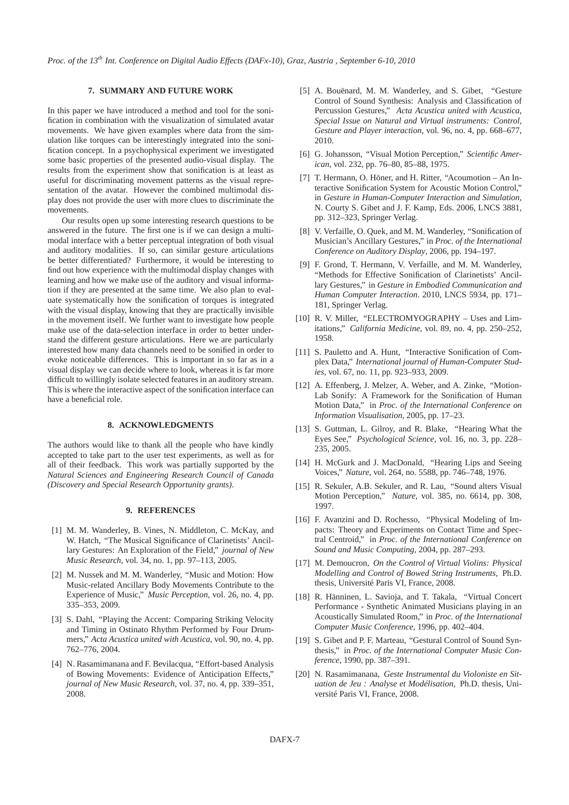### **7. SUMMARY AND FUTURE WORK**

<span id="page-6-5"></span>In this paper we have introduced a method and tool for the sonification in combination with the visualization of simulated avatar movements. We have given examples where data from the simulation like torques can be interestingly integrated into the sonification concept. In a psychophysical experiment we investigated some basic properties of the presented audio-visual display. The results from the experiment show that sonification is at least as useful for discriminating movement patterns as the visual representation of the avatar. However the combined multimodal display does not provide the user with more clues to discriminate the movements.

Our results open up some interesting research questions to be answered in the future. The first one is if we can design a multimodal interface with a better perceptual integration of both visual and auditory modalities. If so, can similar gesture articulations be better differentiated? Furthermore, it would be interesting to find out how experience with the multimodal display changes with learning and how we make use of the auditory and visual information if they are presented at the same time. We also plan to evaluate systematically how the sonification of torques is integrated with the visual display, knowing that they are practically invisible in the movement itself. We further want to investigate how people make use of the data-selection interface in order to better understand the different gesture articulations. Here we are particularly interested how many data channels need to be sonified in order to evoke noticeable differences. This is important in so far as in a visual display we can decide where to look, whereas it is far more difficult to willingly isolate selected features in an auditory stream. This is where the interactive aspect of the sonification interface can have a beneficial role.

#### **8. ACKNOWLEDGMENTS**

The authors would like to thank all the people who have kindly accepted to take part to the user test experiments, as well as for all of their feedback. This work was partially supported by the *Natural Sciences and Engineering Research Council of Canada (Discovery and Special Research Opportunity grants)*.

### **9. REFERENCES**

- <span id="page-6-0"></span>[1] M. M. Wanderley, B. Vines, N. Middleton, C. McKay, and W. Hatch, "The Musical Significance of Clarinetists' Ancillary Gestures: An Exploration of the Field," *journal of New Music Research*, vol. 34, no. 1, pp. 97–113, 2005.
- <span id="page-6-1"></span>[2] M. Nussek and M. M. Wanderley, "Music and Motion: How Music-related Ancillary Body Movements Contribute to the Experience of Music," *Music Perception*, vol. 26, no. 4, pp. 335–353, 2009.
- <span id="page-6-2"></span>[3] S. Dahl, "Playing the Accent: Comparing Striking Velocity and Timing in Ostinato Rhythm Performed by Four Drummers," *Acta Acustica united with Acustica*, vol. 90, no. 4, pp. 762–776, 2004.
- <span id="page-6-3"></span>[4] N. Rasamimanana and F. Bevilacqua, "Effort-based Analysis of Bowing Movements: Evidence of Anticipation Effects," *journal of New Music Research*, vol. 37, no. 4, pp. 339–351, 2008.
- <span id="page-6-4"></span>[5] A. Bouënard, M. M. Wanderley, and S. Gibet, "Gesture Control of Sound Synthesis: Analysis and Classification of Percussion Gestures," *Acta Acustica united with Acustica, Special Issue on Natural and Virtual instruments: Control, Gesture and Player interaction*, vol. 96, no. 4, pp. 668–677, 2010.
- <span id="page-6-6"></span>[6] G. Johansson, "Visual Motion Perception," *Scientific American*, vol. 232, pp. 76–80, 85–88, 1975.
- <span id="page-6-7"></span>[7] T. Hermann, O. Höner, and H. Ritter, "Acoumotion – An Interactive Sonification System for Acoustic Motion Control," in *Gesture in Human-Computer Interaction and Simulation*, N. Courty S. Gibet and J. F. Kamp, Eds. 2006, LNCS 3881, pp. 312–323, Springer Verlag.
- <span id="page-6-8"></span>[8] V. Verfaille, O. Quek, and M. M. Wanderley, "Sonification of Musician's Ancillary Gestures," in *Proc. of the International Conference on Auditory Display*, 2006, pp. 194–197.
- <span id="page-6-9"></span>[9] F. Grond, T. Hermann, V. Verfaille, and M. M. Wanderley, "Methods for Effective Sonification of Clarinetists' Ancillary Gestures," in *Gesture in Embodied Communication and Human Computer Interaction*. 2010, LNCS 5934, pp. 171– 181, Springer Verlag.
- <span id="page-6-10"></span>[10] R. V. Miller, "ELECTROMYOGRAPHY - Uses and Limitations," *California Medicine*, vol. 89, no. 4, pp. 250–252, 1958.
- <span id="page-6-11"></span>[11] S. Pauletto and A. Hunt, "Interactive Sonification of Complex Data," *International journal of Human-Computer Studies*, vol. 67, no. 11, pp. 923–933, 2009.
- <span id="page-6-12"></span>[12] A. Effenberg, J. Melzer, A. Weber, and A. Zinke, "Motion-Lab Sonify: A Framework for the Sonification of Human Motion Data," in *Proc. of the International Conference on Information Visualisation*, 2005, pp. 17–23.
- <span id="page-6-13"></span>[13] S. Guttman, L. Gilroy, and R. Blake, "Hearing What the Eyes See," *Psychological Science*, vol. 16, no. 3, pp. 228– 235, 2005.
- <span id="page-6-14"></span>[14] H. McGurk and J. MacDonald, "Hearing Lips and Seeing Voices," *Nature*, vol. 264, no. 5588, pp. 746–748, 1976.
- <span id="page-6-15"></span>[15] R. Sekuler, A.B. Sekuler, and R. Lau, "Sound alters Visual Motion Perception," *Nature*, vol. 385, no. 6614, pp. 308, 1997.
- <span id="page-6-16"></span>[16] F. Avanzini and D. Rochesso, "Physical Modeling of Impacts: Theory and Experiments on Contact Time and Spectral Centroid," in *Proc. of the International Conference on Sound and Music Computing*, 2004, pp. 287–293.
- <span id="page-6-17"></span>[17] M. Demoucron, *On the Control of Virtual Violins: Physical Modelling and Control of Bowed String Instruments*, Ph.D. thesis, Université Paris VI, France, 2008.
- <span id="page-6-18"></span>[18] R. Hänninen, L. Savioja, and T. Takala, "Virtual Concert Performance - Synthetic Animated Musicians playing in an Acoustically Simulated Room," in *Proc. of the International Computer Music Conference*, 1996, pp. 402–404.
- <span id="page-6-19"></span>[19] S. Gibet and P. F. Marteau, "Gestural Control of Sound Synthesis," in *Proc. of the International Computer Music Conference*, 1990, pp. 387–391.
- <span id="page-6-20"></span>[20] N. Rasamimanana, *Geste Instrumental du Violoniste en Situation de Jeu : Analyse et Modélisation*, Ph.D. thesis, Université Paris VI, France, 2008.